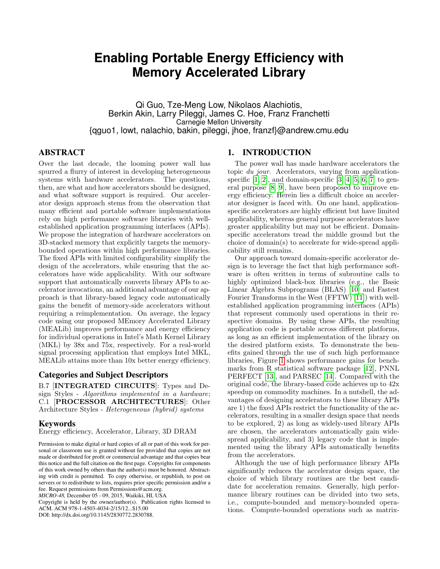# <span id="page-0-0"></span>**Enabling Portable Energy Efficiency with Memory Accelerated Library**

Qi Guo, Tze-Meng Low, Nikolaos Alachiotis, Berkin Akin, Larry Pileggi, James C. Hoe, Franz Franchetti Carnegie Mellon University {qguo1, lowt, nalachio, bakin, pileggi, jhoe, franzf}@andrew.cmu.edu

# ABSTRACT

Over the last decade, the looming power wall has spurred a flurry of interest in developing heterogeneous systems with hardware accelerators. The questions, then, are what and how accelerators should be designed, and what software support is required. Our accelerator design approach stems from the observation that many efficient and portable software implementations rely on high performance software libraries with wellestablished application programming interfaces (APIs). We propose the integration of hardware accelerators on 3D-stacked memory that explicitly targets the memorybounded operations within high performance libraries. The fixed APIs with limited configurability simplify the design of the accelerators, while ensuring that the accelerators have wide applicability. With our software support that automatically converts library APIs to accelerator invocations, an additional advantage of our approach is that library-based legacy code automatically gains the benefit of memory-side accelerators without requiring a reimplementation. On average, the legacy code using our proposed MEmory Accelerated Library (MEALib) improves performance and energy efficiency for individual operations in Intel's Math Kernel Library (MKL) by 38x and 75x, respectively. For a real-world signal processing application that employs Intel MKL, MEALib attains more than 10x better energy efficiency.

# Categories and Subject Descriptors

B.7 [INTEGRATED CIRCUITS]: Types and Design Styles - Algorithms implemented in a hardware; C.1 [PROCESSOR ARCHITECTURES]: Other Architecture Styles - Heterogeneous (hybrid) systems

# Keywords

Energy efficiency, Accelerator, Library, 3D DRAM

*MICRO-48,* December 05 - 09, 2015, Waikiki, HI, USA

Copyright is held by the owner/author(s). Publication rights licensed to ACM. ACM 978-1-4503-4034-2/15/12...\$15.00

DOI: http://dx.doi.org/10.1145/2830772.2830788.

# 1. INTRODUCTION

The power wall has made hardware accelerators the topic du jour. Accelerators, varying from applicationspecific  $[1, 2]$  $[1, 2]$ , and domain-specific  $[3, 4, 5, 6, 7]$  $[3, 4, 5, 6, 7]$  $[3, 4, 5, 6, 7]$  $[3, 4, 5, 6, 7]$  $[3, 4, 5, 6, 7]$  to general purpose [\[8,](#page-11-2) [9\]](#page-11-3), have been proposed to improve energy efficiency. Herein lies a difficult choice an accelerator designer is faced with. On one hand, applicationspecific accelerators are highly efficient but have limited applicability, whereas general purpose accelerators have greater applicability but may not be efficient. Domainspecific accelerators tread the middle ground but the choice of domain(s) to accelerate for wide-spread applicability still remains.

Our approach toward domain-specific accelerator design is to leverage the fact that high performance software is often written in terms of subroutine calls to highly optimized black-box libraries (e.g., the Basic Linear Algebra Subprograms (BLAS) [\[10\]](#page-11-4) and Fastest Fourier Transforms in the West (FFTW) [\[11\]](#page-11-5)) with wellestablished application programming interfaces (APIs) that represent commonly used operations in their respective domains. By using these APIs, the resulting application code is portable across different platforms, as long as an efficient implementation of the library on the desired platform exists. To demonstrate the benefits gained through the use of such high performance libraries, Figure [1](#page-1-0) shows performance gains for benchmarks from R statistical software package [\[12\]](#page-11-6), PNNL PERFECT [\[13\]](#page-11-7), and PARSEC [\[14\]](#page-11-8). Compared with the original code, the library-based code achieves up to 42x speedup on commodity machines. In a nutshell, the advantages of designing accelerators to these library APIs are 1) the fixed APIs restrict the functionality of the accelerators, resulting in a smaller design space that needs to be explored, 2) as long as widely-used library APIs are chosen, the accelerators automatically gain widespread applicability, and 3) legacy code that is implemented using the library APIs automatically benefits from the accelerators.

Although the use of high performance library APIs significantly reduces the accelerator design space, the choice of which library routines are the best candidate for acceleration remains. Generally, high performance library routines can be divided into two sets, i.e., compute-bounded and memory-bounded operations. Compute-bounded operations such as matrix-

Permission to make digital or hard copies of all or part of this work for personal or classroom use is granted without fee provided that copies are not made or distributed for profit or commercial advantage and that copies bear this notice and the full citation on the first page. Copyrights for components of this work owned by others than the author(s) must be honored. Abstracting with credit is permitted. To copy otherwise, or republish, to post on servers or to redistribute to lists, requires prior specific permission and/or a fee. Request permissions from Permissions@acm.org.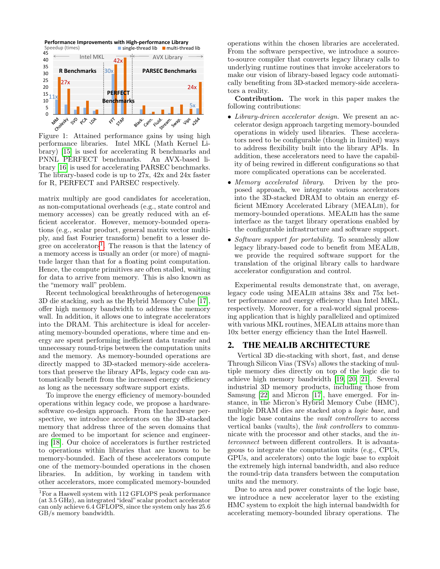<span id="page-1-0"></span>



performance libraries. Intel MKL (Math Kernel Library) [\[15\]](#page-11-9) is used for accelerating R benchmarks and PNNL PERFECT benchmarks. An AVX-based library [\[16\]](#page-11-10) is used for accelerating PARSEC benchmarks. The library-based code is up to 27x, 42x and 24x faster for R, PERFECT and PARSEC respectively.

matrix multiply are good candidates for acceleration, as non-computational overheads (e.g., state control and memory accesses) can be greatly reduced with an efficient accelerator. However, memory-bounded operations (e.g., scalar product, general matrix vector multiply, and fast Fourier transform) benefit to a lesser de- $\epsilon$  or  $\epsilon$  accelerators<sup>[1](#page-0-0)</sup>. The reason is that the latency of a memory access is usually an order (or more) of magnitude larger than that for a floating point computation. Hence, the compute primitives are often stalled, waiting for data to arrive from memory. This is also known as the "memory wall" problem.

Recent technological breakthroughs of heterogeneous 3D die stacking, such as the Hybrid Memory Cube [\[17\]](#page-11-11), offer high memory bandwidth to address the memory wall. In addition, it allows one to integrate accelerators into the DRAM. This architecture is ideal for accelerating memory-bounded operations, where time and energy are spent performing inefficient data transfer and unnecessary round-trips between the computation units and the memory. As memory-bounded operations are directly mapped to 3D-stacked memory-side accelerators that preserve the library APIs, legacy code can automatically benefit from the increased energy efficiency as long as the necessary software support exists.

To improve the energy efficiency of memory-bounded operations within legacy code, we propose a hardwaresoftware co-design approach. From the hardware perspective, we introduce accelerators on the 3D-stacked memory that address three of the seven domains that are deemed to be important for science and engineering [\[18\]](#page-11-12). Our choice of accelerators is further restricted to operations within libraries that are known to be memory-bounded. Each of these accelerators compute one of the memory-bounded operations in the chosen libraries. In addition, by working in tandem with other accelerators, more complicated memory-bounded

operations within the chosen libraries are accelerated. From the software perspective, we introduce a sourceto-source compiler that converts legacy library calls to underlying runtime routines that invoke accelerators to make our vision of library-based legacy code automatically benefiting from 3D-stacked memory-side accelerators a reality.

Contribution. The work in this paper makes the following contributions:

- Library-driven accelerator design. We present an accelerator design approach targeting memory-bounded operations in widely used libraries. These accelerators need to be configurable (though in limited) ways to address flexibility built into the library APIs. In addition, these accelerators need to have the capability of being rewired in different configurations so that more complicated operations can be accelerated.
- Memory accelerated library. Driven by the proposed approach, we integrate various accelerators into the 3D-stacked DRAM to obtain an energy efficient MEmory Accelerated Library (MEALib), for memory-bounded operations. MEALib has the same interface as the target library operations enabled by the configurable infrastructure and software support.
- Software support for portability. To seamlessly allow legacy library-based code to benefit from MEALib, we provide the required software support for the translation of the original library calls to hardware accelerator configuration and control.

Experimental results demonstrate that, on average, legacy code using MEALib attains 38x and 75x better performance and energy efficiency than Intel MKL, respectively. Moreover, for a real-world signal processing application that is highly parallelized and optimized with various MKL routines, MEALIB attains more than 10x better energy efficiency than the Intel Haswell.

# 2. THE MEALIB ARCHITECTURE

Vertical 3D die-stacking with short, fast, and dense Through Silicon Vias (TSVs) allows the stacking of multiple memory dies directly on top of the logic die to achieve high memory bandwidth [\[19,](#page-11-13) [20,](#page-11-14) [21\]](#page-11-15). Several industrial 3D memory products, including those from Samsung [\[22\]](#page-11-16) and Micron [\[17\]](#page-11-11), have emerged. For instance, in the Micron's Hybrid Memory Cube (HMC), multiple DRAM dies are stacked atop a logic base, and the logic base contains the vault controllers to access vertical banks (vaults), the link controllers to communicate with the processor and other stacks, and the interconnect between different controllers. It is advantageous to integrate the computation units (e.g., CPUs, GPUs, and accelerators) onto the logic base to exploit the extremely high internal bandwidth, and also reduce the round-trip data transfers between the computation units and the memory.

Due to area and power constraints of the logic base, we introduce a new accelerator layer to the existing HMC system to exploit the high internal bandwidth for accelerating memory-bounded library operations. The

<sup>&</sup>lt;sup>1</sup>For a Haswell system with 112 GFLOPS peak performance (at 3.5 GHz), an integrated "ideal" scalar product accelerator can only achieve 6.4 GFLOPS, since the system only has 25.6 GB/s memory bandwidth.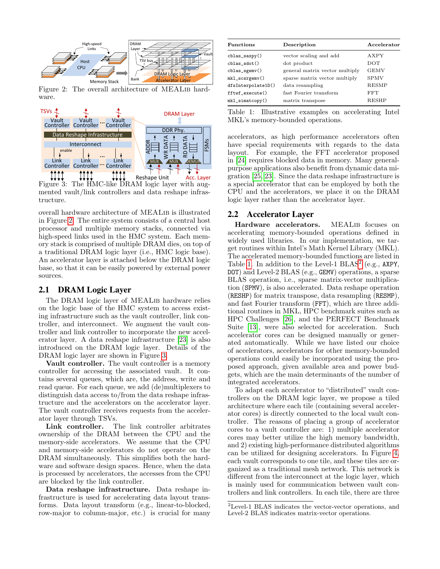<span id="page-2-0"></span>

Figure 2: The overall architecture of MEALIB hardware.

<span id="page-2-1"></span>

mented vault/link controllers and data reshape infrastructure.

overall hardware architecture of MEALib is illustrated in Figure [2.](#page-2-0) The entire system consists of a central host processor and multiple memory stacks, connected via high-speed links used in the HMC system. Each memory stack is comprised of multiple DRAM dies, on top of a traditional DRAM logic layer (i.e., HMC logic base). An accelerator layer is attached below the DRAM logic base, so that it can be easily powered by external power sources.

# 2.1 DRAM Logic Layer

The DRAM logic layer of MEALIB hardware relies on the logic base of the HMC system to access existing infrastructure such as the vault controller, link controller, and interconnect. We augment the vault controller and link controller to incorporate the new accelerator layer. A data reshape infrastructure [\[23\]](#page-11-17) is also introduced on the DRAM logic layer. Details of the DRAM logic layer are shown in Figure [3.](#page-2-1)

Vault controller. The vault controller is a memory controller for accessing the associated vault. It contains several queues, which are, the address, write and read queue. For each queue, we add (de)multiplexers to distinguish data access to/from the data reshape infrastructure and the accelerators on the accelerator layer. The vault controller receives requests from the accelerator layer through TSVs.

Link controller. The link controller arbitrates ownership of the DRAM between the CPU and the memory-side accelerators. We assume that the CPU and memory-side accelerators do not operate on the DRAM simultaneously. This simplifies both the hardware and software design spaces. Hence, when the data is processed by accelerators, the accesses from the CPU are blocked by the link controller.

Data reshape infrastructure. Data reshape infrastructure is used for accelerating data layout transforms. Data layout transform (e.g., linear-to-blocked, row-major to column-major, etc.) is crucial for many

<span id="page-2-2"></span>

| <b>Functions</b>             | Description                    | Accelerator  |
|------------------------------|--------------------------------|--------------|
| cblas_saxpy()                | vector scaling and add         | <b>AXPY</b>  |
| cblas_sdot()                 | dot product                    | DOT          |
| cblas_sgemv()                | general matrix vector multiply | GEMV         |
| $mkl$ <sub>scsrgemv</sub> () | sparse matrix vector multiply  | <b>SPMV</b>  |
| dfsInterpolate1D()           | data resampling                | <b>RESMP</b> |
| fftwf_execute()              | fast Fourier transform         | FFT          |
| $mkl$ _simatcopy()           | matrix transpose               | <b>RESHP</b> |

Table 1: Illustrative examples on accelerating Intel MKL's memory-bounded operations.

accelerators, as high performance accelerators often have special requirements with regards to the data layout. For example, the FFT accelerator proposed in [\[24\]](#page-11-18) requires blocked data in memory. Many generalpurpose applications also benefit from dynamic data migration [\[25,](#page-11-19) [23\]](#page-11-17). Since the data reshape infrastructure is a special accelerator that can be employed by both the CPU and the accelerators, we place it on the DRAM logic layer rather than the accelerator layer.

# 2.2 Accelerator Layer

Hardware accelerators. MEALIB focuses on accelerating memory-bounded operations defined in widely used libraries. In our implementation, we target routines within Intel's Math Kernel Library (MKL). The accelerated memory-bounded functions are listed in Table [1.](#page-2-2) In addition to the Level-1 BLAS<sup>[2](#page-0-0)</sup> (e.g., AXPY, DOT) and Level-2 BLAS (e.g., GEMV) operations, a sparse BLAS operation, i.e., sparse matrix-vector multiplication (SPMV), is also accelerated. Data reshape operation (RESHP) for matrix transpose, data resampling (RESMP), and fast Fourier transform (FFT), which are three additional routines in MKL, HPC benchmark suites such as HPC Challenges [\[26\]](#page-11-20), and the PERFECT Benchmark Suite [\[13\]](#page-11-7), were also selected for acceleration. Such accelerator cores can be designed manually or generated automatically. While we have listed our choice of accelerators, accelerators for other memory-bounded operations could easily be incorporated using the proposed approach, given available area and power budgets, which are the main determinants of the number of integrated accelerators.

To adapt each accelerator to "distributed" vault controllers on the DRAM logic layer, we propose a tiled architecture where each tile (containing several accelerator cores) is directly connected to the local vault controller. The reasons of placing a group of accelerator cores to a vault controller are: 1) multiple accelerator cores may better utilize the high memory bandwidth, and 2) existing high-performance distributed algorithms can be utilized for designing accelerators. In Figure [4,](#page-3-0) each vault corresponds to one tile, and these tiles are organized as a traditional mesh network. This network is different from the interconnect at the logic layer, which is mainly used for communication between vault controllers and link controllers. In each tile, there are three

<sup>2</sup>Level-1 BLAS indicates the vector-vector operations, and Level-2 BLAS indicates matrix-vector operations.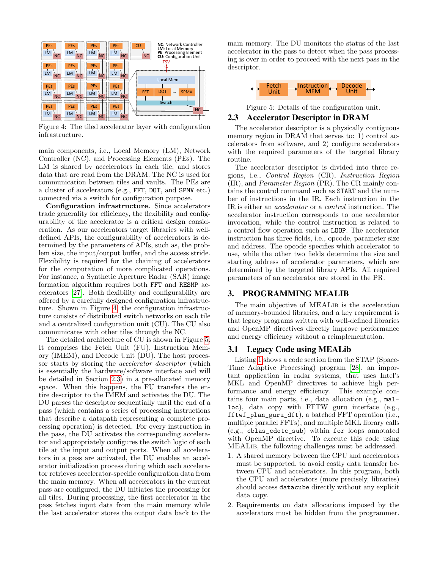<span id="page-3-0"></span>

Figure 4: The tiled accelerator layer with configuration infrastructure.

main components, i.e., Local Memory (LM), Network Controller (NC), and Processing Elements (PEs). The LM is shared by accelerators in each tile, and stores data that are read from the DRAM. The NC is used for communication between tiles and vaults. The PEs are a cluster of accelerators (e.g., FFT, DOT, and SPMV etc.) connected via a switch for configuration purpose.

Configuration infrastructure. Since accelerators trade generality for efficiency, the flexibility and configurability of the accelerator is a critical design consideration. As our accelerators target libraries with welldefined APIs, the configurability of accelerators is determined by the parameters of APIs, such as, the problem size, the input/output buffer, and the access stride. Flexibility is required for the chaining of accelerators for the computation of more complicated operations. For instance, a Synthetic Aperture Radar (SAR) image formation algorithm requires both FFT and RESMP accelerators [\[27\]](#page-11-21). Both flexibility and configurability are offered by a carefully designed configuration infrastructure. Shown in Figure [4,](#page-3-0) the configuration infrastructure consists of distributed switch networks on each tile and a centralized configuration unit (CU). The CU also communicates with other tiles through the NC.

The detailed architecture of CU is shown in Figure [5.](#page-3-1) It comprises the Fetch Unit (FU), Instruction Memory (IMEM), and Decode Unit (DU). The host processor starts by storing the accelerator descriptor (which is essentially the hardware/software interface and will be detailed in Section [2.3\)](#page-3-2) in a pre-allocated memory space. When this happens, the FU transfers the entire descriptor to the IMEM and activates the DU. The DU parses the descriptor sequentially until the end of a pass (which contains a series of processing instructions that describe a datapath representing a complete processing operation) is detected. For every instruction in the pass, the DU activates the corresponding accelerator and appropriately configures the switch logic of each tile at the input and output ports. When all accelerators in a pass are activated, the DU enables an accelerator initialization process during which each accelerator retrieves accelerator-specific configuration data from the main memory. When all accelerators in the current pass are configured, the DU initiates the processing for all tiles. During processing, the first accelerator in the pass fetches input data from the main memory while the last accelerator stores the output data back to the

main memory. The DU monitors the status of the last accelerator in the pass to detect when the pass processing is over in order to proceed with the next pass in the descriptor.

<span id="page-3-1"></span>

Figure 5: Details of the configuration unit.

# <span id="page-3-2"></span>2.3 Accelerator Descriptor in DRAM

The accelerator descriptor is a physically contiguous memory region in DRAM that serves to: 1) control accelerators from software, and 2) configure accelerators with the required parameters of the targeted library routine.

The accelerator descriptor is divided into three regions, i.e., Control Region (CR), Instruction Region (IR), and Parameter Region (PR). The CR mainly contains the control command such as START and the number of instructions in the IR. Each instruction in the IR is either an accelerator or a control instruction. The accelerator instruction corresponds to one accelerator invocation, while the control instruction is related to a control flow operation such as LOOP. The accelerator instruction has three fields, i.e., opcode, parameter size and address. The opcode specifies which accelerator to use, while the other two fields determine the size and starting address of accelerator parameters, which are determined by the targeted library APIs. All required parameters of an accelerator are stored in the PR.

## 3. PROGRAMMING MEALIB

The main objective of MEALIB is the acceleration of memory-bounded libraries, and a key requirement is that legacy programs written with well-defined libraries and OpenMP directives directly improve performance and energy efficiency without a reimplementation.

# 3.1 Legacy Code using MEALib

Listing [1](#page-4-0) shows a code section from the STAP (Space-Time Adaptive Processing) program [\[28\]](#page-11-22), an important application in radar systems, that uses Intel's MKL and OpenMP directives to achieve high performance and energy efficiency. This example contains four main parts, i.e., data allocation (e.g., malloc), data copy with FFTW guru interface (e.g., fftwf\_plan\_guru\_dft), a batched FFT operation (i.e., multiple parallel FFTs), and multiple MKL library calls (e.g., cblas\_cdotc\_sub) within for loops annotated with OpenMP directive. To execute this code using MEALib, the following challenges must be addressed.

- 1. A shared memory between the CPU and accelerators must be supported, to avoid costly data transfer between CPU and accelerators. In this program, both the CPU and accelerators (more precisely, libraries) should access datacube directly without any explicit data copy.
- 2. Requirements on data allocations imposed by the accelerators must be hidden from the programmer.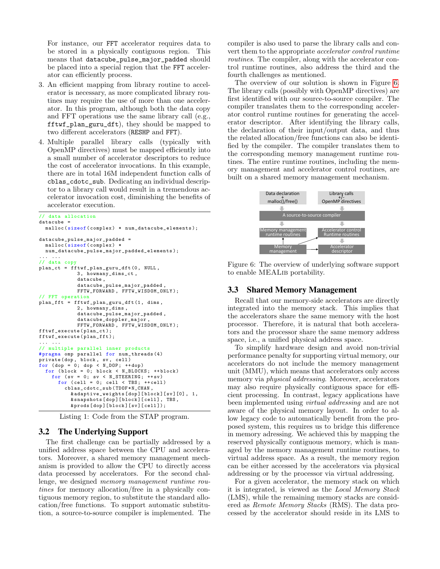For instance, our FFT accelerator requires data to be stored in a physically contiguous region. This means that datacube\_pulse\_major\_padded should be placed into a special region that the FFT accelerator can efficiently process.

- 3. An efficient mapping from library routine to accelerator is necessary, as more complicated library routines may require the use of more than one accelerator. In this program, although both the data copy and FFT operations use the same library call (e.g., fftwf\_plan\_guru\_dft), they should be mapped to two different accelerators (RESHP and FFT).
- 4. Multiple parallel library calls (typically with OpenMP directives) must be mapped efficiently into a small number of accelerator descriptors to reduce the cost of accelerator invocations. In this example, there are in total 16M independent function calls of cblas\_cdotc\_sub. Dedicating an individual descriptor to a library call would result in a tremendous accelerator invocation cost, diminishing the benefits of accelerator execution.

```
// data allocation
datacube =
  malloc ( sizeof ( complex ) * num datacube elements );
datacube pulse major padded =
  malloc ( size of ( complex ) *
  num_datacube_pulse_major_padded_elements );
... ...
// data copy
plan_c t = f f t w f<sub>-plan_guru_dft</sub>(0, NULL,
             3, howmany_dims_ct ,
             datacube ,
             datacube_pulse_major_padded ,
             FFTW_FORWARD, FFTW_WISDOM_ONLY);
// FFT operation
plan_fft = fftwf_plan_guru_dft (1 , dims ,
             2, howmany_dims ,
             datacube_pulse_major_padded ,
             datacube_doppler_major ,
             FFTW_FORWARD , FFTW_WISDOM_ONLY );
fftwf_execute ( plan_ct );
fftwf_execute ( plan_fft );
... ...
// multiple parallel inner products
# pragma omp parallel for num_threads (4)
private (dop, block, sv, cell)
for ( dop = 0; dop < N_DOP ; ++ dop )
  for (block = 0; block < N_BLOCK; ++block)
    for (sv = 0; sv < N_STERING; ++sv)for ( cell = 0; cell < TBS; ++ cell)
         cblas_cdotc_sub ( TDOF * N_CHAN ,
           & adaptive_weights [ dop ][ block ][ sv ][0] , 1,
           & snapshots [ dop ][ block ][ cell ], TBS ,
           & prods [ dop ][ block ][ sv ][ cell ]);
```
Listing 1: Code from the STAP program.

# 3.2 The Underlying Support

The first challenge can be partially addressed by a unified address space between the CPU and accelerators. Moreover, a shared memory management mechanism is provided to allow the CPU to directly access data processed by accelerators. For the second challenge, we designed memory management runtime routines for memory allocation/free in a physically contiguous memory region, to substitute the standard allocation/free functions. To support automatic substitution, a source-to-source compiler is implemented. The compiler is also used to parse the library calls and convert them to the appropriate accelerator control runtime routines. The compiler, along with the accelerator control runtime routines, also address the third and the fourth challenges as mentioned.

The overview of our solution is shown in Figure [6.](#page-4-1) The library calls (possibly with OpenMP directives) are first identified with our source-to-source compiler. The compiler translates them to the corresponding accelerator control runtime routines for generating the accelerator descriptor. After identifying the library calls, the declaration of their input/output data, and thus the related allocation/free functions can also be identified by the compiler. The compiler translates them to the corresponding memory management runtime routines. The entire runtime routines, including the memory management and accelerator control routines, are built on a shared memory management mechanism.

<span id="page-4-1"></span>

Figure 6: The overview of underlying software support to enable MEALIB portability.

# 3.3 Shared Memory Management

Recall that our memory-side accelerators are directly integrated into the memory stack. This implies that the accelerators share the same memory with the host processor. Therefore, it is natural that both accelerators and the processor share the same memory address space, i.e., a unified physical address space.

To simplify hardware design and avoid non-trivial performance penalty for supporting virtual memory, our accelerators do not include the memory management unit (MMU), which means that accelerators only access memory via physical addressing. Moreover, accelerators may also require physically contiguous space for efficient processing. In contrast, legacy applications have been implemented using virtual addressing and are not aware of the physical memory layout. In order to allow legacy code to automatically benefit from the proposed system, this requires us to bridge this difference in memory adressing. We achieved this by mapping the reserved physically contiguous memory, which is managed by the memory management runtime routines, to virtual address space. As a result, the memory region can be either accessed by the accelerators via physical addressing or by the processor via virtual addressing.

For a given accelerator, the memory stack on which it is integrated, is viewed as the Local Memory Stack (LMS), while the remaining memory stacks are considered as Remote Memory Stacks (RMS). The data processed by the accelerator should reside in its LMS to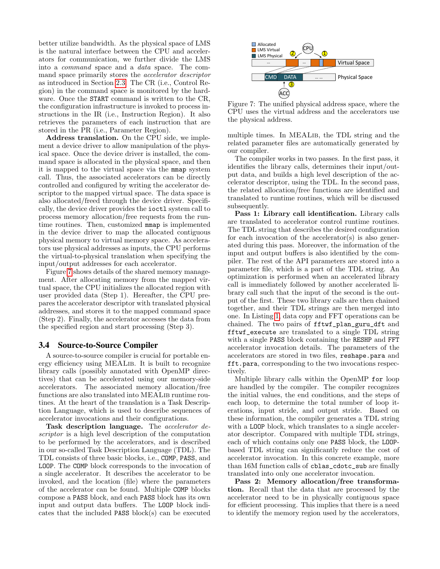better utilize bandwidth. As the physical space of LMS is the natural interface between the CPU and accelerators for communication, we further divide the LMS into a command space and a data space. The command space primarily stores the accelerator descriptor as introduced in Section [2.3.](#page-3-2) The CR (i.e., Control Region) in the command space is monitored by the hardware. Once the START command is written to the CR, the configuration infrastructure is invoked to process instructions in the IR (i.e., Instruction Region). It also retrieves the parameters of each instruction that are stored in the PR (i.e., Parameter Region).

Address translation. On the CPU side, we implement a device driver to allow manipulation of the physical space. Once the device driver is installed, the command space is allocated in the physical space, and then it is mapped to the virtual space via the mmap system call. Thus, the associated accelerators can be directly controlled and configured by writing the accelerator descriptor to the mapped virtual space. The data space is also allocated/freed through the device driver. Specifically, the device driver provides the ioctl system call to process memory allocation/free requests from the runtime routines. Then, customized mmap is implemented in the device driver to map the allocated contiguous physical memory to virtual memory space. As accelerators use physical addresses as inputs, the CPU performs the virtual-to-physical translation when specifying the input/output addresses for each accelerator.

Figure [7](#page-5-0) shows details of the shared memory management. After allocating memory from the mapped virtual space, the CPU initializes the allocated region with user provided data (Step 1). Hereafter, the CPU prepares the accelerator descriptor with translated physical addresses, and stores it to the mapped command space (Step 2). Finally, the accelerator accesses the data from the specified region and start processing (Step 3).

# 3.4 Source-to-Source Compiler

A source-to-source compiler is crucial for portable energy efficiency using MEALib. It is built to recognize library calls (possibly annotated with OpenMP directives) that can be accelerated using our memory-side accelerators. The associated memory allocation/free functions are also translated into MEALIB runtime routines. At the heart of the translation is a Task Description Language, which is used to describe sequences of accelerator invocations and their configurations.

Task description language. The *accelerator de*scriptor is a high level description of the computation to be performed by the accelerators, and is described in our so-called Task Description Language (TDL). The TDL consists of three basic blocks, i.e., COMP, PASS, and LOOP. The COMP block corresponds to the invocation of a single accelerator. It describes the accelerator to be invoked, and the location (file) where the parameters of the accelerator can be found. Multiple COMP blocks compose a PASS block, and each PASS block has its own input and output data buffers. The LOOP block indicates that the included PASS block(s) can be executed

<span id="page-5-0"></span>

Figure 7: The unified physical address space, where the CPU uses the virtual address and the accelerators use the physical address.

multiple times. In MEALib, the TDL string and the related parameter files are automatically generated by our compiler.

The compiler works in two passes. In the first pass, it identifies the library calls, determines their input/output data, and builds a high level description of the accelerator descriptor, using the TDL. In the second pass, the related allocation/free functions are identified and translated to runtime routines, which will be discussed subsequently.

Pass 1: Library call identification. Library calls are translated to accelerator control runtime routines. The TDL string that describes the desired configuration for each invocation of the  $accelerator(s)$  is also generated during this pass. Moreover, the information of the input and output buffers is also identified by the compiler. The rest of the API parameters are stored into a parameter file, which is a part of the TDL string. An optimization is performed when an accelerated library call is immediately followed by another accelerated library call such that the input of the second is the output of the first. These two library calls are then chained together, and their TDL strings are then merged into one. In Listing [1,](#page-4-0) data copy and FFT operations can be chained. The two pairs of fftwf\_plan\_guru\_dft and fftwf\_execute are translated to a single TDL string with a single PASS block containing the RESHP and FFT accelerator invocation details. The parameters of the accelerators are stored in two files, reshape.para and fft.para, corresponding to the two invocations respectively.

Multiple library calls within the OpenMP for loop are handled by the compiler. The compiler recognizes the initial values, the end conditions, and the steps of each loop, to determine the total number of loop iterations, input stride, and output stride. Based on these information, the compiler generates a TDL string with a LOOP block, which translates to a single accelerator descriptor. Compared with multiple TDL strings, each of which contains only one PASS block, the LOOPbased TDL string can significantly reduce the cost of accelerator invocation. In this concrete example, more than 16M function calls of cblas\_cdotc\_sub are finally translated into only one accelerator invocation.

Pass 2: Memory allocation/free transformation. Recall that the data that are processed by the accelerator need to be in physically contiguous space for efficient processing. This implies that there is a need to identify the memory region used by the accelerators,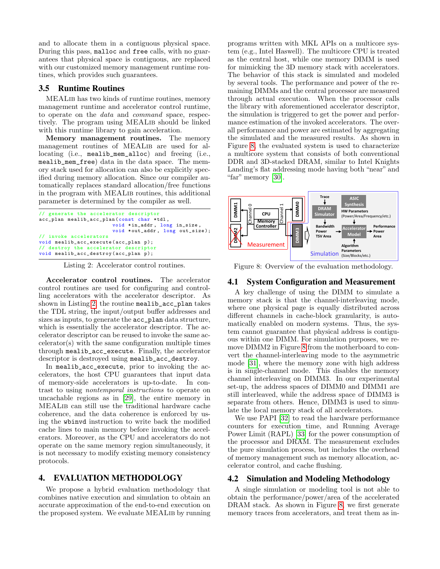and to allocate them in a contiguous physical space. During this pass, malloc and free calls, with no guarantees that physical space is contiguous, are replaced with our customized memory management runtime routines, which provides such guarantees.

# 3.5 Runtime Routines

MEALib has two kinds of runtime routines, memory management runtime and accelerator control runtime, to operate on the data and command space, respectively. The program using MEALIB should be linked with this runtime library to gain acceleration.

Memory management routines. The memory management routines of MEALib are used for allocating (i.e., mealib\_mem\_alloc) and freeing (i.e., mealib\_mem\_free) data in the data space. The memory stack used for allocation can also be explicitly specified during memory allocation. Since our compiler automatically replaces standard allocation/free functions in the program with MEALib routines, this additional parameter is determined by the compiler as well.

```
// generate the accelerator descriptor
acc_plan mealib_acc_plan ( const char * tdl ,
                        void * in_addr , long in_size ,
                        void *out_addr, long out_size);
// invoke accelerators
void mealib_acc_execute ( acc_plan p );
// destroy the accelerator descriptor
void mealib_acc_destroy ( acc_plan p );
```
Listing 2: Accelerator control routines.

Accelerator control routines. The accelerator control routines are used for configuring and controlling accelerators with the accelerator descriptor. As shown in Listing [2,](#page-6-0) the routine mealib\_acc\_plan takes the TDL string, the input/output buffer addresses and sizes as inputs, to generate the acc\_plan data structure, which is essentially the accelerator descriptor. The accelerator descriptor can be reused to invoke the same accelerator(s) with the same configuration multiple times through mealib\_acc\_execute. Finally, the accelerator descriptor is destroyed using mealib\_acc\_destroy.

In mealib\_acc\_execute, prior to invoking the accelerators, the host CPU guarantees that input data of memory-side accelerators is up-to-date. In contrast to using nontemporal instructions to operate on uncachable regions as in [\[29\]](#page-11-23), the entire memory in MEALib can still use the traditional hardware cache coherence, and the data coherence is enforced by using the wbinvd instruction to write back the modified cache lines to main memory before invoking the accelerators. Moreover, as the CPU and accelerators do not operate on the same memory region simultaneously, it is not necessary to modify existing memory consistency protocols.

# 4. EVALUATION METHODOLOGY

We propose a hybrid evaluation methodology that combines native execution and simulation to obtain an accurate approximation of the end-to-end execution on the proposed system. We evaluate MEALIB by running programs written with MKL APIs on a multicore system (e.g., Intel Haswell). The multicore CPU is treated as the central host, while one memory DIMM is used for mimicking the 3D memory stack with accelerators. The behavior of this stack is simulated and modeled by several tools. The performance and power of the remaining DIMMs and the central processor are measured through actual execution. When the processor calls the library with aforementioned accelerator descriptor, the simulation is triggered to get the power and performance estimation of the invoked accelerators. The overall performance and power are estimated by aggregating the simulated and the measured results. As shown in Figure [8,](#page-6-1) the evaluated system is used to characterize a multicore system that consists of both conventional DDR and 3D-stacked DRAM, similar to Intel Knights Landing's flat addressing mode having both "near" and "far" memory [\[30\]](#page-11-24).

<span id="page-6-1"></span>

Figure 8: Overview of the evaluation methodology.

# 4.1 System Configuration and Measurement

A key challenge of using the DIMM to simulate a memory stack is that the channel-interleaving mode, where one physical page is equally distributed across different channels in cache-block granularity, is automatically enabled on modern systems. Thus, the system cannot guarantee that physical address is contiguous within one DIMM. For simulation purposes, we remove DIMM2 in Figure [8](#page-6-1) from the motherboard to convert the channel-interleaving mode to the asymmetric mode [\[31\]](#page-11-25), where the memory zone with high address is in single-channel mode. This disables the memory channel interleaving on DIMM3. In our experimental set-up, the address spaces of DIMM0 and DIMM1 are still interleaved, while the address space of DIMM3 is separate from others. Hence, DIMM3 is used to simulate the local memory stack of all accelerators.

We use PAPI [\[32\]](#page-11-26) to read the hardware performance counters for execution time, and Running Average Power Limit (RAPL) [\[33\]](#page-11-27) for the power consumption of the processor and DRAM. The measurement excludes the pure simulation process, but includes the overhead of memory management such as memory allocation, accelerator control, and cache flushing.

# 4.2 Simulation and Modeling Methodology

A single simulation or modeling tool is not able to obtain the performance/power/area of the accelerated DRAM stack. As shown in Figure [8,](#page-6-1) we first generate memory traces from accelerators, and treat them as in-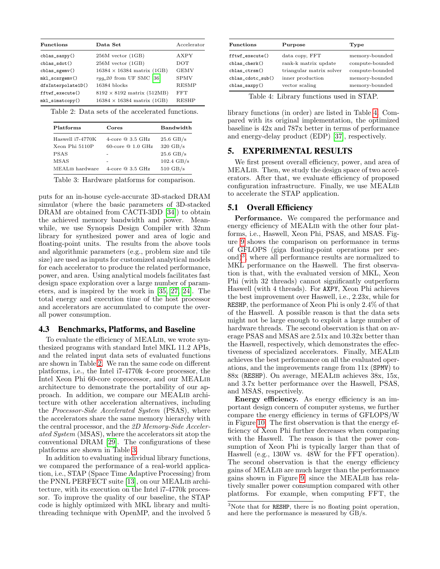<span id="page-7-0"></span>

| <b>Functions</b>   | Data Set                          | Accelerator  |
|--------------------|-----------------------------------|--------------|
| cblas_saxpy()      | $256M$ vector $(1GB)$             | <b>AXPY</b>  |
| cblas_sdot()       | $256M$ vector $(1GB)$             | DOT          |
| cblas_sgemv()      | $16384 \times 16384$ matrix (1GB) | <b>GEMV</b>  |
| mkl_scsrgemv()     | $\text{rgg\_20}$ from UF SMC [36] | <b>SPMV</b>  |
| dfsInterpolate1D() | $16384$ blocks                    | <b>RESMP</b> |
| fftwf_execute()    | $8192 \times 8192$ matrix (512MB) | <b>FFT</b>   |
| $mkl$ _simatcopy() | $16384 \times 16384$ matrix (1GB) | <b>RESHP</b> |

Table 2: Data sets of the accelerated functions.

<span id="page-7-1"></span>

| Platforms                   | Cores                         | <b>Bandwidth</b>     |
|-----------------------------|-------------------------------|----------------------|
| Haswell i7-4770K            | 4-core $@3.5~GHz$             | $25.6 \text{ GB/s}$  |
| Xeon Phi 5110P              | $60$ -core $@1.0 \text{ GHz}$ | $320 \text{ GB/s}$   |
| <b>PSAS</b>                 |                               | $25.6 \text{ GB/s}$  |
| MSAS                        |                               | $102.4 \text{ GB/s}$ |
| MEAL <sub>IB</sub> hardware | 4-core $\Omega$ 3.5 GHz       | $510 \text{ GB/s}$   |

Table 3: Hardware platforms for comparison.

puts for an in-house cycle-accurate 3D-stacked DRAM simulator (where the basic parameters of 3D-stacked DRAM are obtained from CACTI-3DD [\[34\]](#page-11-29)) to obtain the achieved memory bandwidth and power. Meanwhile, we use Synopsis Design Compiler with 32nm library for synthesized power and area of logic and floating-point units. The results from the above tools and algorithmic parameters (e.g., problem size and tile size) are used as inputs for customized analytical models for each accelerator to produce the related performance, power, and area. Using analytical models facilitates fast design space exploration over a large number of parameters, and is inspired by the work in [\[35,](#page-11-30) [27,](#page-11-21) [24\]](#page-11-18). The total energy and execution time of the host processor and accelerators are accumulated to compute the overall power consumption.

#### 4.3 Benchmarks, Platforms, and Baseline

To evaluate the efficiency of MEALib, we wrote synthesized programs with standard Intel MKL 11.2 APIs, and the related input data sets of evaluated functions are shown in Table [2.](#page-7-0) We ran the same code on different platforms, i.e., the Intel i7-4770k 4-core processor, the Intel Xeon Phi 60-core coprocessor, and our MEALib architecture to demonstrate the portability of our approach. In addition, we compare our MEALib architecture with other acceleration alternatives, including the Processor-Side Accelerated System (PSAS), where the accelerators share the same memory hierarchy with the central processor, and the 2D Memory-Side Accelerated System (MSAS), where the accelerators sit atop the conventional DRAM [\[29\]](#page-11-23). The configurations of these platforms are shown in Table [3.](#page-7-1)

In addition to evaluating individual library functions, we compared the performance of a real-world application, i.e., STAP (Space Time Adaptive Processing) from the PNNL PERFECT suite [\[13\]](#page-11-7), on our MEALib architecture, with its execution on the Intel i7-4770k processor. To improve the quality of our baseline, the STAP code is highly optimized with MKL library and multithreading technique with OpenMP, and the involved 5

<span id="page-7-2"></span>

| <b>Functions</b>  | Purpose                  | Type            |
|-------------------|--------------------------|-----------------|
| fftwf_execute()   | data copy, FFT           | memory-bounded  |
| cblas_cherk()     | rank-k matrix update     | compute-bounded |
| cblas_ctrsm()     | triangular matrix solver | compute-bounded |
| cblas_cdotc_sub() | inner production         | memory-bounded  |
| $cblas_saxyy()$   | vector scaling           | memory-bounded  |

Table 4: Library functions used in STAP.

library functions (in order) are listed in Table [4.](#page-7-2) Compared with its original implementation, the optimized baseline is 42x and 787x better in terms of performance and energy-delay product (EDP) [\[37\]](#page-11-31), respectively.

# 5. EXPERIMENTAL RESULTS

We first present overall efficiency, power, and area of MEALib. Then, we study the design space of two accelerators. After that, we evaluate efficiency of proposed configuration infrastructure. Finally, we use MEALib to accelerate the STAP application.

# 5.1 Overall Efficiency

Performance. We compared the performance and energy efficiency of MEALIB with the other four platforms, i.e., Haswell, Xeon Phi, PSAS, and MSAS. Figure [9](#page-8-0) shows the comparison on performance in terms of GFLOPS (giga floating-point operations per second)[3](#page-0-0) , where all performance results are normalized to MKL performance on the Haswell. The first observation is that, with the evaluated version of MKL, Xeon Phi (with 32 threads) cannot significantly outperform Haswell (with 4 threads). For AXPY, Xeon Phi achieves the best improvement over Haswell, i.e., 2.23x, while for RESHP, the performance of Xeon Phi is only 2.4% of that of the Haswell. A possible reason is that the data sets might not be large enough to exploit a large number of hardware threads. The second observation is that on average PSAS and MSAS are 2.51x and 10.32x better than the Haswell, respectively, which demonstrates the effectiveness of specialized accelerators. Finally, MEALib achieves the best performance on all the evaluated operations, and the improvements range from 11x (SPMV) to 88x (RESHP). On average, MEALib achieves 38x, 15x, and 3.7x better performance over the Haswell, PSAS, and MSAS, respectively.

Energy efficiency. As energy efficiency is an important design concern of computer systems, we further compare the energy efficiency in terms of GFLOPS/W in Figure [10.](#page-8-1) The first observation is that the energy efficiency of Xeon Phi further decreases when comparing with the Haswell. The reason is that the power consumption of Xeon Phi is typically larger than that of Haswell (e.g., 130W vs. 48W for the FFT operation). The second observation is that the energy efficiency gains of MEALib are much larger than the performance gains shown in Figure [9,](#page-8-0) since the MEALib has relatively smaller power consumption compared with other platforms. For example, when computing FFT, the

<sup>&</sup>lt;sup>3</sup>Note that for RESHP, there is no floating point operation, and here the performance is measured by GB/s.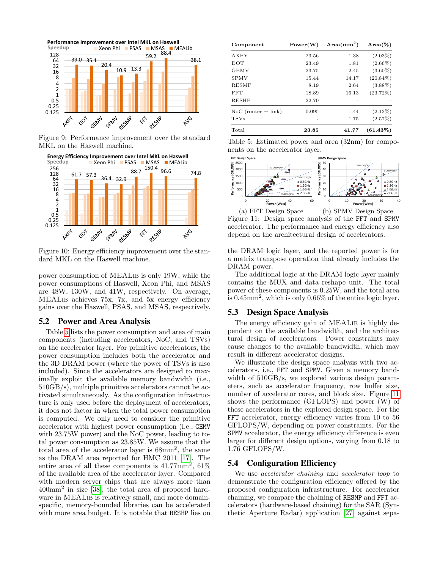<span id="page-8-0"></span>

Figure 9: Performance improvement over the standard MKL on the Haswell machine.

<span id="page-8-1"></span>

Figure 10: Energy efficiency improvement over the standard MKL on the Haswell machine.

power consumption of MEALib is only 19W, while the power consumptions of Haswell, Xeon Phi, and MSAS are 48W, 130W, and 41W, respectively. On average, MEALib achieves 75x, 7x, and 5x energy efficiency gains over the Haswell, PSAS, and MSAS, respectively.

#### 5.2 Power and Area Analysis

Table [5](#page-8-2) lists the power consumption and area of main components (including accelerators, NoC, and TSVs) on the accelerator layer. For primitive accelerators, the power consumption includes both the accelerator and the 3D DRAM power (where the power of TSVs is also included). Since the accelerators are designed to maximally exploit the available memory bandwidth (i.e., 510GB/s), multiple primitive accelerators cannot be activated simultaneously. As the configuration infrastructure is only used before the deployment of accelerators, it does not factor in when the total power consumption is computed. We only need to consider the primitive accelerator with highest power consumption (i.e., GEMV with 23.75W power) and the NoC power, leading to total power consumption as 23.85W. We assume that the total area of the accelerator layer is 68mm<sup>2</sup> , the same as the DRAM area reported for HMC 2011 [\[17\]](#page-11-11). The entire area of all these components is  $41.77$ mm<sup>2</sup>,  $61\%$ of the available area of the accelerator layer. Compared with modern server chips that are always more than 400mm<sup>2</sup> in size [\[38\]](#page-11-32), the total area of proposed hardware in MEALIB is relatively small, and more domainspecific, memory-bounded libraries can be accelerated with more area budget. It is notable that RESHP lies on

<span id="page-8-2"></span>

| Component               | Power(W) | $Area(mm^2)$ | $Area(\%)$  |
|-------------------------|----------|--------------|-------------|
| <b>AXPY</b>             | 23.56    | 1.38         | $(2.03\%)$  |
| <b>DOT</b>              | 23.49    | 1.81         | $(2.66\%)$  |
| <b>GEMV</b>             | 23.75    | 2.45         | $(3.60\%)$  |
| <b>SPMV</b>             | 15.44    | 14.17        | $(20.84\%)$ |
| <b>RESMP</b>            | 8.19     | 2.64         | $(3.88\%)$  |
| <b>FFT</b>              | 18.89    | 16.13        | $(23.72\%)$ |
| <b>RESHP</b>            | 22.70    |              |             |
| $NoC$ (router $+$ link) | 0.095    | 1.44         | $(2.12\%)$  |
| <b>TSVs</b>             |          | 1.75         | (2.57%)     |
| Total                   | 23.85    | 41.77        | $(61.43\%)$ |

Table 5: Estimated power and area (32nm) for components on the accelerator layer.

<span id="page-8-3"></span>

Figure 11: Design space analysis of the FFT and SPMV accelerator. The performance and energy efficiency also depend on the architectural design of accelerators.

the DRAM logic layer, and the reported power is for a matrix transpose operation that already includes the DRAM power.

The additional logic at the DRAM logic layer mainly contains the MUX and data reshape unit. The total power of these components is 0.25W, and the total area is 0.45 $\text{mm}^2$ , which is only 0.66% of the entire logic layer.

#### 5.3 Design Space Analysis

The energy efficiency gain of MEALIB is highly dependent on the available bandwidth, and the architectural design of accelerators. Power constraints may cause changes to the available bandwidth, which may result in different accelerator designs.

We illustrate the design space analysis with two accelerators, i.e., FFT and SPMV. Given a memory bandwidth of 510GB/s, we explored various design parameters, such as accelerator frequency, row buffer size, number of accelerator cores, and block size. Figure [11](#page-8-3) shows the performance (GFLOPS) and power (W) of these accelerators in the explored design space. For the FFT accelerator, energy efficiency varies from 10 to 56 GFLOPS/W, depending on power constraints. For the SPMV accelerator, the energy efficiency difference is even larger for different design options, varying from 0.18 to 1.76 GFLOPS/W.

## 5.4 Configuration Efficiency

We use accelerator chaining and accelerator loop to demonstrate the configuration efficiency offered by the proposed configuration infrastructure. For accelerator chaining, we compare the chaining of RESMP and FFT accelerators (hardware-based chaining) for the SAR (Synthetic Aperture Radar) application [\[27\]](#page-11-21) against sepa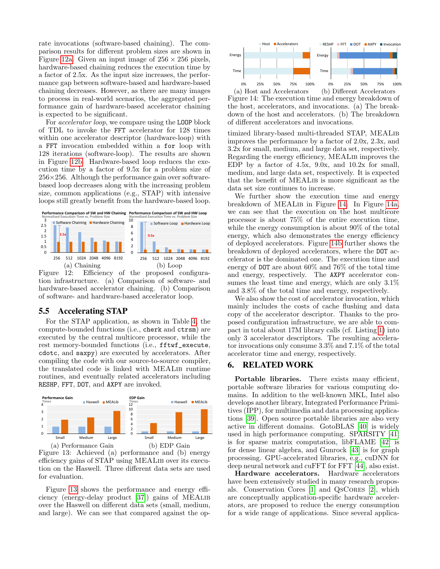rate invocations (software-based chaining). The comparison results for different problem sizes are shown in Figure [12a.](#page-9-0) Given an input image of  $256 \times 256$  pixels, hardware-based chaining reduces the execution time by a factor of 2.5x. As the input size increases, the performance gap between software-based and hardware-based chaining decreases. However, as there are many images to process in real-world scenarios, the aggregated performance gain of hardware-based accelerator chaining is expected to be significant.

For accelerator loop, we compare using the LOOP block of TDL to invoke the FFT accelerator for 128 times within one accelerator descriptor (hardware-loop) with a FFT invocation embedded within a for loop with 128 iterations (software-loop). The results are shown in Figure [12b.](#page-9-1) Hardware-based loop reduces the execution time by a factor of 9.5x for a problem size of  $256\times256$ . Although the performance gain over softwarebased loop decreases along with the increasing problem size, common applications (e.g., STAP) with intensive loops still greatly benefit from the hardware-based loop. and and the three seconds and the three seconds and the second against the comparison of the second against the operator of the second against the comparison of the second against the comparison of the second against the

<span id="page-9-0"></span>

<span id="page-9-1"></span>Figure 12: Efficiency of the proposed configuration infrastructure. (a) Comparison of software- and hardware-based accelerator chaining. (b) Comparison of software- and hardware-based accelerator loop.

# 5.5 Accelerating STAP

For the STAP application, as shown in Table [4,](#page-7-2) the compute-bounded functions (i.e., cherk and ctrsm) are executed by the central multicore processor, while the rest memory-bounded functions (i.e., fftwf\_execute, cdotc, and saxpy) are executed by accelerators. After compiling the code with our source-to-source compiler, the translated code is linked with MEALib runtime routines, and eventually related accelerators including RESHP, FFT, DOT, and AXPY are invoked.

<span id="page-9-2"></span>

Figure 13: Achieved (a) performance and (b) energy efficiency gains of STAP using MEALib over its execution on the Haswell. Three different data sets are used for evaluation.

Figure [13](#page-9-2) shows the performance and energy efficiency (energy-delay product [\[37\]](#page-11-31)) gains of MEAlib over the Haswell on different data sets (small, medium,

<span id="page-9-4"></span><span id="page-9-3"></span>

<span id="page-9-5"></span>(a) Host and Accelerators (b) Different Accelerators Figure 14: The execution time and energy breakdown of the host, accelerators, and invocations. (a) The breakdown of the host and accelerators. (b) The breakdown of different accelerators and invocations.

timized library-based multi-threaded STAP, MEALib improves the performance by a factor of 2.0x, 2.3x, and 3.2x for small, medium, and large data set, respectively. Regarding the energy efficiency, MEALib improves the EDP by a factor of 4.5x, 9.0x, and 10.2x for small, medium, and large data set, respectively. It is expected that the benefit of MEALib is more significant as the data set size continues to increase.

We further show the execution time and energy breakdown of MEALib in Figure [14.](#page-9-3) In Figure [14a,](#page-9-4) we can see that the execution on the host multicore processor is about 75% of the entire execution time, while the energy consumption is about 90% of the total energy, which also demonstrates the energy efficiency of deployed accelerators. Figure [14b](#page-9-5) further shows the breakdown of deployed accelerators, where the DOT accelerator is the dominated one. The execution time and energy of DOT are about 60% and 76% of the total time and energy, respectively. The AXPY accelerator consumes the least time and energy, which are only 3.1% and 3.8% of the total time and energy, respectively.

We also show the cost of accelerator invocation, which mainly includes the costs of cache flushing and data copy of the accelerator descriptor. Thanks to the proposed configuration infrastructure, we are able to compact in total about 17M library calls (cf. Listing [1\)](#page-4-0) into only 3 accelerator descriptors. The resulting accelerator invocations only consume 3.3% and 7.1% of the total accelerator time and energy, respectively.

## 6. RELATED WORK

Portable libraries. There exists many efficient, portable software libraries for various computing domains. In addition to the well-known MKL, Intel also develops another library, Integrated Performance Primitives (IPP), for multimedia and data processing applications [\[39\]](#page-11-33). Open source portable libraries are also very active in different domains. GotoBLAS [\[40\]](#page-11-34) is widely used in high performance computing. SPARSITY [\[41\]](#page-11-35) is for sparse matrix computation, libFLAME [\[42\]](#page-11-36) is for dense linear algebra, and Gunrock [\[43\]](#page-11-37) is for graph processing. GPU-accelerated libraries, e.g., cuDNN for deep neural network and cuFFT for FFT [\[44\]](#page-11-38), also exist.

Hardware accelerators. Hardware accelerators have been extensively studied in many research proposals. Conservation Cores [\[1\]](#page-10-0) and QsCores [\[2\]](#page-10-1), which are conceptually application-specific hardware accelerators, are proposed to reduce the energy consumption for a wide range of applications. Since several applica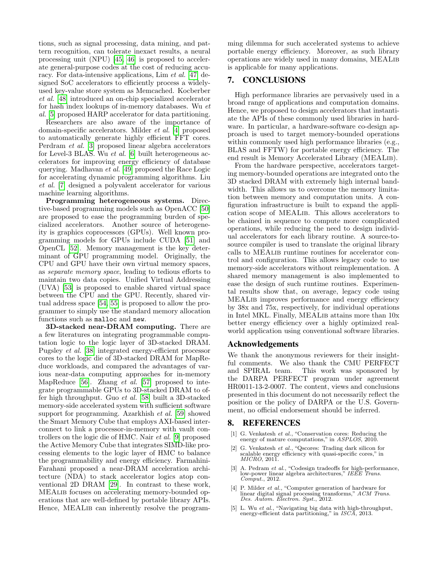tions, such as signal processing, data mining, and pattern recognition, can tolerate inexact results, a neural processing unit (NPU) [\[45,](#page-11-39) [46\]](#page-11-40) is proposed to accelerate general-purpose codes at the cost of reducing accuracy. For data-intensive applications, Lim et al. [\[47\]](#page-11-41) designed SoC accelerators to efficiently process a widelyused key-value store system as Memcached. Kocberber et al. [\[48\]](#page-11-42) introduced an on-chip specialized accelerator for hash index lookups of in-memory databases. Wu et al. [\[5\]](#page-10-4) proposed HARP accelerator for data partitioning.

Researchers are also aware of the importance of domain-specific accelerators. Milder et al. [\[4\]](#page-10-3) proposed to automatically generate highly efficient FFT cores. Perdram et al. [\[3\]](#page-10-2) proposed linear algebra accelerators for Level-3 BLAS. Wu et al. [\[6\]](#page-11-0) built heterogeneous accelerators for improving energy efficiency of database querying. Madhavan et al. [\[49\]](#page-11-43) proposed the Race Logic for accelerating dynamic programming algorithms. Liu et al. [\[7\]](#page-11-1) designed a polyvalent accelerator for various machine learning algorithms.

Programming heterogeneous systems. Directive-based programming models such as OpenACC [\[50\]](#page-11-44) are proposed to ease the programming burden of specialized accelerators. Another source of heterogeneity is graphics coprocessors (GPUs). Well known programming models for GPUs include CUDA [\[51\]](#page-11-45) and OpenCL [\[52\]](#page-11-46). Memory management is the key determinant of GPU programming model. Originally, the CPU and GPU have their own virtual memory spaces, as separate memory space, leading to tedious efforts to maintain two data copies. Unified Virtual Addressing (UVA) [\[53\]](#page-11-47) is proposed to enable shared virtual space between the CPU and the GPU. Recently, shared virtual address space [\[54,](#page-11-48) [55\]](#page-11-49) is proposed to allow the programmer to simply use the standard memory allocation functions such as malloc and new.

3D-stacked near-DRAM computing. There are a few literatures on integrating programmable computation logic to the logic layer of 3D-stacked DRAM. Pugsley et al. [\[38\]](#page-11-32) integrated energy-efficient processor cores to the logic die of 3D-stacked DRAM for MapReduce workloads, and compared the advantages of various near-data computing approaches for in-memory MapReduce [\[56\]](#page-11-50). Zhang  $et \ al.$  [\[57\]](#page-11-51) proposed to integrate programmable GPUs to 3D-stacked DRAM to offer high throughput. Guo et al. [\[58\]](#page-11-52) built a 3D-stacked memory-side accelerated system with sufficient software support for programming. Azarkhish et al. [\[59\]](#page-11-53) showed the Smart Memory Cube that employs AXI-based interconnect to link a processor-in-memory with vault controllers on the logic die of HMC. Nair et al. [\[9\]](#page-11-3) proposed the Active Memory Cube that integrates SIMD-like processing elements to the logic layer of HMC to balance the programmability and energy efficiency. Farmahini-Farahani proposed a near-DRAM acceleration architecture (NDA) to stack accelerator logics atop conventional 2D DRAM [\[29\]](#page-11-23). In contrast to these work, MEAlib focuses on accelerating memory-bounded operations that are well-defined by portable library APIs. Hence, MEALIB can inherently resolve the programming dilemma for such accelerated systems to achieve portable energy efficiency. Moreover, as such library operations are widely used in many domains, MEALib is applicable for many applications.

# 7. CONCLUSIONS

High performance libraries are pervasively used in a broad range of applications and computation domains. Hence, we proposed to design accelerators that instantiate the APIs of these commonly used libraries in hardware. In particular, a hardware-software co-design approach is used to target memory-bounded operations within commonly used high performance libraries (e.g., BLAS and FFTW) for portable energy efficiency. The end result is Memory Accelerated Library (MEALib).

From the hardware perspective, accelerators targeting memory-bounded operations are integrated onto the 3D stacked DRAM with extremely high internal bandwidth. This allows us to overcome the memory limitation between memory and computation units. A configuration infrastructure is built to expand the application scope of MEALib. This allows accelerators to be chained in sequence to compute more complicated operations, while reducing the need to design individual accelerators for each library routine. A source-tosource compiler is used to translate the original library calls to MEAlib runtime routines for accelerator control and configuration. This allows legacy code to use memory-side accelerators without reimplementation. A shared memory management is also implemented to ease the design of such runtime routines. Experimental results show that, on average, legacy code using MEALib improves performance and energy efficiency by 38x and 75x, respectively, for individual operations in Intel MKL. Finally, MEALib attains more than 10x better energy efficiency over a highly optimized realworld application using conventional software libraries.

#### Acknowledgements

We thank the anonymous reviewers for their insightful comments. We also thank the CMU PERFECT and SPIRAL team. This work was sponsored by the DARPA PERFECT program under agreement HR0011-13-2-0007. The content, views and conclusions presented in this document do not necessarily reflect the position or the policy of DARPA or the U.S. Government, no official endorsement should be inferred.

# 8. REFERENCES

- <span id="page-10-0"></span>[1] G. Venkatesh et al., "Conservation cores: Reducing the energy of mature computations," in ASPLOS, 2010.
- <span id="page-10-1"></span>[2] G. Venkatesh *et al.*, "Qscores: Trading dark silicon for scalable energy efficiency with quasi-specific cores," in MICRO, 2011.
- <span id="page-10-2"></span>[3] A. Pedram et al., "Codesign tradeoffs for high-performance, low-power linear algebra architectures," IEEE Trans. Comput., 2012.
- <span id="page-10-3"></span>[4] P. Milder et al., "Computer generation of hardware for linear digital signal processing transforms," ACM Trans. Des. Autom. Electron. Syst., 2012.
- <span id="page-10-4"></span>[5] L. Wu et al., "Navigating big data with high-throughput, energy-efficient data partitioning," in ISCA, 2013.